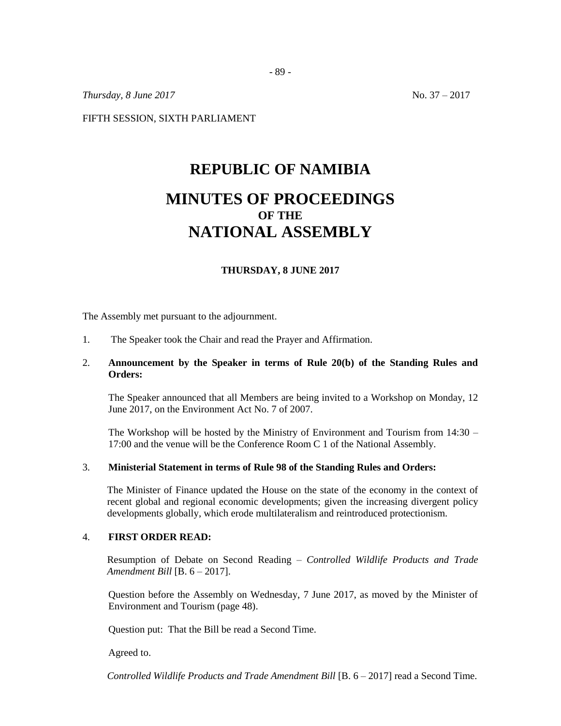*Thursday, 8 June* 2017 No. 37 – 2017

FIFTH SESSION, SIXTH PARLIAMENT

# **REPUBLIC OF NAMIBIA MINUTES OF PROCEEDINGS OF THE NATIONAL ASSEMBLY**

## **THURSDAY, 8 JUNE 2017**

The Assembly met pursuant to the adjournment.

1. The Speaker took the Chair and read the Prayer and Affirmation.

## 2. **Announcement by the Speaker in terms of Rule 20(b) of the Standing Rules and Orders:**

The Speaker announced that all Members are being invited to a Workshop on Monday, 12 June 2017, on the Environment Act No. 7 of 2007.

The Workshop will be hosted by the Ministry of Environment and Tourism from 14:30 – 17:00 and the venue will be the Conference Room C 1 of the National Assembly.

#### 3. **Ministerial Statement in terms of Rule 98 of the Standing Rules and Orders:**

The Minister of Finance updated the House on the state of the economy in the context of recent global and regional economic developments; given the increasing divergent policy developments globally, which erode multilateralism and reintroduced protectionism.

## 4. **FIRST ORDER READ:**

Resumption of Debate on Second Reading – *Controlled Wildlife Products and Trade Amendment Bill* [B. 6 – 2017].

Question before the Assembly on Wednesday, 7 June 2017, as moved by the Minister of Environment and Tourism (page 48).

Question put: That the Bill be read a Second Time.

Agreed to.

*Controlled Wildlife Products and Trade Amendment Bill* [B. 6 – 2017] read a Second Time.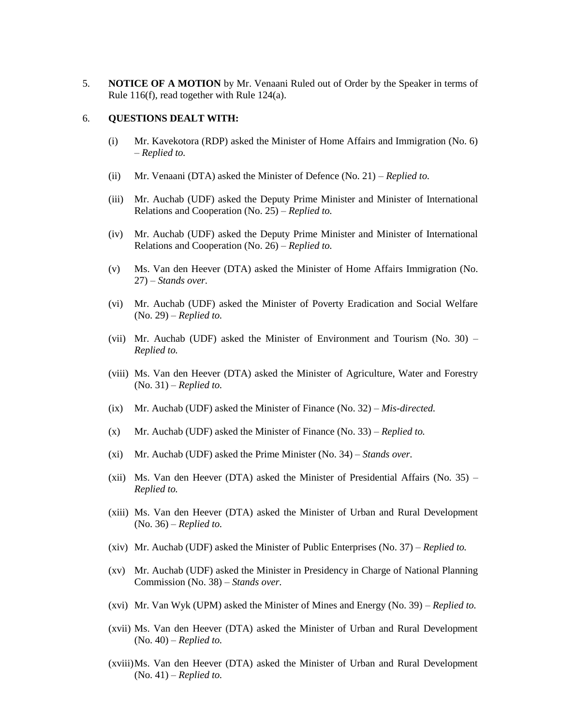5. **NOTICE OF A MOTION** by Mr. Venaani Ruled out of Order by the Speaker in terms of Rule 116(f), read together with Rule 124(a).

### 6. **QUESTIONS DEALT WITH:**

- (i) Mr. Kavekotora (RDP) asked the Minister of Home Affairs and Immigration (No. 6) – *Replied to.*
- (ii) Mr. Venaani (DTA) asked the Minister of Defence (No. 21) *Replied to.*
- (iii) Mr. Auchab (UDF) asked the Deputy Prime Minister and Minister of International Relations and Cooperation (No. 25) – *Replied to.*
- (iv) Mr. Auchab (UDF) asked the Deputy Prime Minister and Minister of International Relations and Cooperation (No. 26) – *Replied to.*
- (v) Ms. Van den Heever (DTA) asked the Minister of Home Affairs Immigration (No. 27) – *Stands over.*
- (vi) Mr. Auchab (UDF) asked the Minister of Poverty Eradication and Social Welfare (No. 29) – *Replied to.*
- (vii) Mr. Auchab (UDF) asked the Minister of Environment and Tourism (No. 30) *Replied to.*
- (viii) Ms. Van den Heever (DTA) asked the Minister of Agriculture, Water and Forestry (No. 31) – *Replied to.*
- (ix) Mr. Auchab (UDF) asked the Minister of Finance (No. 32) *Mis-directed.*
- (x) Mr. Auchab (UDF) asked the Minister of Finance (No. 33) *Replied to.*
- (xi) Mr. Auchab (UDF) asked the Prime Minister (No. 34) *Stands over.*
- (xii) Ms. Van den Heever (DTA) asked the Minister of Presidential Affairs (No. 35) *Replied to.*
- (xiii) Ms. Van den Heever (DTA) asked the Minister of Urban and Rural Development (No. 36) – *Replied to.*
- (xiv) Mr. Auchab (UDF) asked the Minister of Public Enterprises (No. 37) *Replied to.*
- (xv) Mr. Auchab (UDF) asked the Minister in Presidency in Charge of National Planning Commission (No. 38) – *Stands over.*
- (xvi) Mr. Van Wyk (UPM) asked the Minister of Mines and Energy (No. 39) *Replied to.*
- (xvii) Ms. Van den Heever (DTA) asked the Minister of Urban and Rural Development (No. 40) – *Replied to.*
- (xviii)Ms. Van den Heever (DTA) asked the Minister of Urban and Rural Development (No. 41) – *Replied to.*